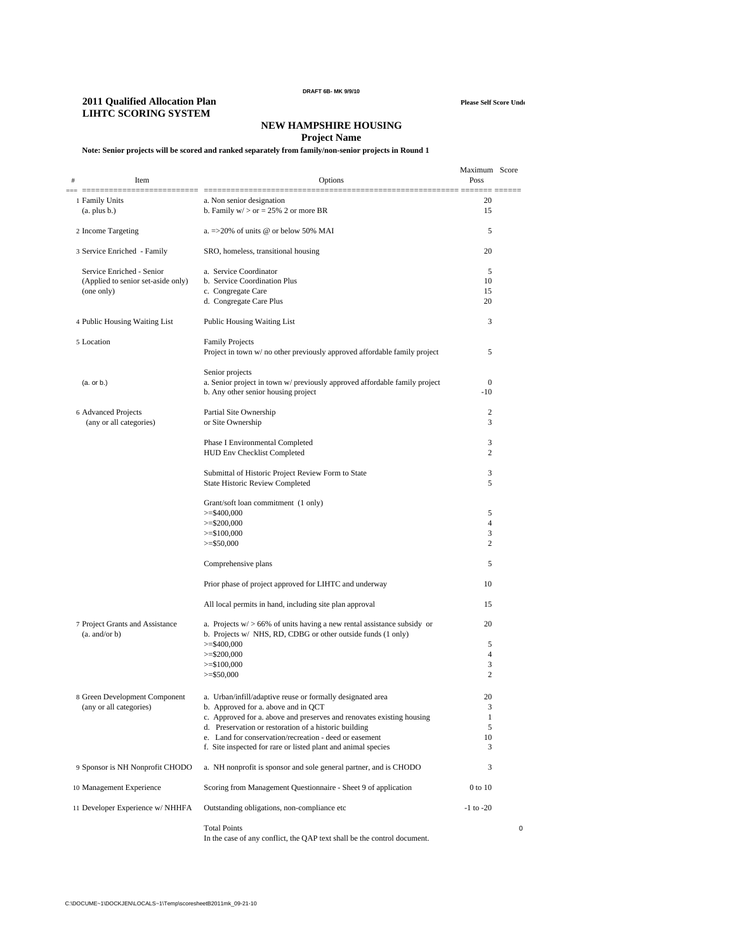#### **DRAFT 6B- MK 9/9/10**

#### **2011 Qualified Allocation Plan Please Self Score Unde LIHTC SCORING SYSTEM**

## **NEW HAMPSHIRE HOUSING**

## **Project Name**

## **Note: Senior projects will be scored and ranked separately from family/non-senior projects in Round 1**

| Item<br>#                                                | Options                                                                                           | Maximum Score<br>Poss |   |
|----------------------------------------------------------|---------------------------------------------------------------------------------------------------|-----------------------|---|
| Ξ,<br>1 Family Units<br>(a. plus b.)                     | a. Non senior designation<br>b. Family $w$ > or = 25% 2 or more BR                                | 20<br>15              |   |
| 2 Income Targeting                                       | a. $\approx$ 20% of units @ or below 50% MAI                                                      | 5                     |   |
| 3 Service Enriched - Family                              | SRO, homeless, transitional housing                                                               | 20                    |   |
| Service Enriched - Senior                                | a. Service Coordinator                                                                            | 5                     |   |
| (Applied to senior set-aside only)                       | b. Service Coordination Plus                                                                      | 10                    |   |
| (one only)                                               | c. Congregate Care                                                                                | 15                    |   |
|                                                          | d. Congregate Care Plus                                                                           | 20                    |   |
| 4 Public Housing Waiting List                            | <b>Public Housing Waiting List</b>                                                                | 3                     |   |
| 5 Location                                               | <b>Family Projects</b>                                                                            |                       |   |
|                                                          | Project in town w/ no other previously approved affordable family project                         | 5                     |   |
|                                                          | Senior projects                                                                                   |                       |   |
| (a. or b.)                                               | a. Senior project in town w/ previously approved affordable family project                        | $\boldsymbol{0}$      |   |
|                                                          | b. Any other senior housing project                                                               | $-10$                 |   |
| 6 Advanced Projects                                      | Partial Site Ownership                                                                            | 2                     |   |
| (any or all categories)                                  | or Site Ownership                                                                                 | 3                     |   |
|                                                          | Phase I Environmental Completed                                                                   | 3                     |   |
|                                                          | <b>HUD Env Checklist Completed</b>                                                                | 2                     |   |
|                                                          | Submittal of Historic Project Review Form to State                                                | 3                     |   |
|                                                          | State Historic Review Completed                                                                   | 5                     |   |
|                                                          |                                                                                                   |                       |   |
|                                                          | Grant/soft loan commitment (1 only)<br>$>=$ \$400,000                                             | 5                     |   |
|                                                          | $>=$ \$200,000                                                                                    | $\overline{4}$        |   |
|                                                          | $>=$ \$100,000                                                                                    | 3                     |   |
|                                                          | $>=$ \$50,000                                                                                     | 2                     |   |
|                                                          | Comprehensive plans                                                                               | 5                     |   |
|                                                          | Prior phase of project approved for LIHTC and underway                                            | 10                    |   |
|                                                          | All local permits in hand, including site plan approval                                           | 15                    |   |
| 7 Project Grants and Assistance                          | a. Projects $w$ $> 66\%$ of units having a new rental assistance subsidy or                       | 20                    |   |
| (a. and/or b)                                            | b. Projects w/ NHS, RD, CDBG or other outside funds (1 only)                                      |                       |   |
|                                                          | $>=$ \$400,000                                                                                    | 5                     |   |
|                                                          | $>=$ \$200,000                                                                                    | $\overline{4}$<br>3   |   |
|                                                          | $>=$ \$100,000<br>$>=$ \$50,000                                                                   | 2                     |   |
|                                                          |                                                                                                   |                       |   |
| 8 Green Development Component<br>(any or all categories) | a. Urban/infill/adaptive reuse or formally designated area<br>b. Approved for a. above and in QCT | 20<br>3               |   |
|                                                          | c. Approved for a. above and preserves and renovates existing housing                             | 1                     |   |
|                                                          | d. Preservation or restoration of a historic building                                             | 5                     |   |
|                                                          | e. Land for conservation/recreation - deed or easement                                            | 10                    |   |
|                                                          | f. Site inspected for rare or listed plant and animal species                                     | 3                     |   |
| 9 Sponsor is NH Nonprofit CHODO                          | a. NH nonprofit is sponsor and sole general partner, and is CHODO                                 | 3                     |   |
| 10 Management Experience                                 | Scoring from Management Questionnaire - Sheet 9 of application                                    | 0 to 10               |   |
| 11 Developer Experience w/ NHHFA                         | Outstanding obligations, non-compliance etc                                                       | $-1$ to $-20$         |   |
|                                                          | <b>Total Points</b><br>In the case of any conflict, the QAP text shall be the control document.   |                       | 0 |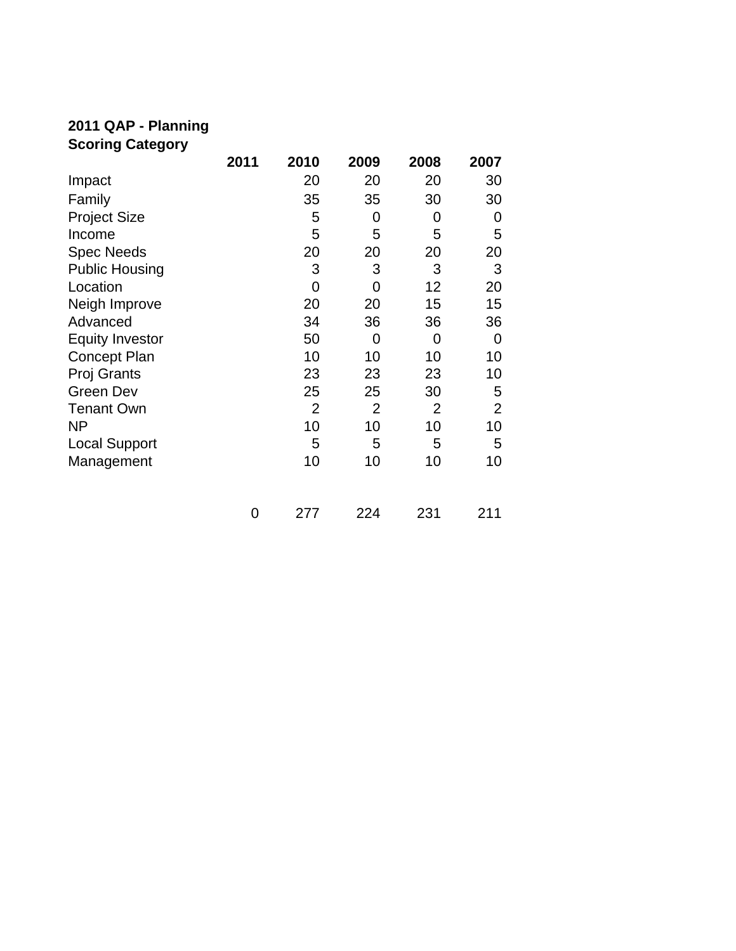# **2011 QAP - Planning Scoring Category**

|                        | 2011 | 2010           | 2009           | 2008 | 2007           |
|------------------------|------|----------------|----------------|------|----------------|
| Impact                 |      | 20             | 20             | 20   | 30             |
| Family                 |      | 35             | 35             | 30   | 30             |
| <b>Project Size</b>    |      | 5              | 0              | 0    | 0              |
| Income                 |      | 5              | 5              | 5    | 5              |
| <b>Spec Needs</b>      |      | 20             | 20             | 20   | 20             |
| <b>Public Housing</b>  |      | 3              | 3              | 3    | 3              |
| Location               |      | 0              | 0              | 12   | 20             |
| Neigh Improve          |      | 20             | 20             | 15   | 15             |
| Advanced               |      | 34             | 36             | 36   | 36             |
| <b>Equity Investor</b> |      | 50             | $\overline{0}$ | 0    | 0              |
| <b>Concept Plan</b>    |      | 10             | 10             | 10   | 10             |
| Proj Grants            |      | 23             | 23             | 23   | 10             |
| <b>Green Dev</b>       |      | 25             | 25             | 30   | 5              |
| <b>Tenant Own</b>      |      | $\overline{2}$ | $\overline{2}$ | 2    | $\overline{2}$ |
| ΝP                     |      | 10             | 10             | 10   | 10             |
| <b>Local Support</b>   |      | 5              | 5              | 5    | 5              |
| Management             |      | 10             | 10             | 10   | 10             |
|                        | 0    | 277            | 224            | 231  | 211            |